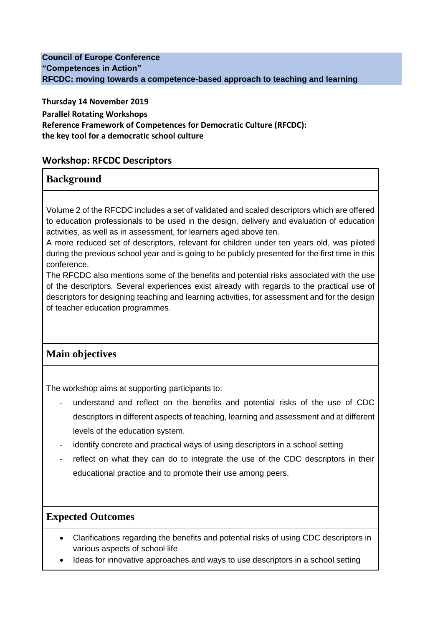#### **Council of Europe Conference "Competences in Action" RFCDC: moving towards a competence-based approach to teaching and learning**

**Thursday 14 November 2019 Parallel Rotating Workshops Reference Framework of Competences for Democratic Culture (RFCDC): the key tool for a democratic school culture**

### **Workshop: RFCDC Descriptors**

## **Background**

Volume 2 of the RFCDC includes a set of validated and scaled descriptors which are offered to education professionals to be used in the design, delivery and evaluation of education activities, as well as in assessment, for learners aged above ten.

A more reduced set of descriptors, relevant for children under ten years old, was piloted during the previous school year and is going to be publicly presented for the first time in this conference.

The RFCDC also mentions some of the benefits and potential risks associated with the use of the descriptors. Several experiences exist already with regards to the practical use of descriptors for designing teaching and learning activities, for assessment and for the design of teacher education programmes.

# **Main objectives**

The workshop aims at supporting participants to:

- understand and reflect on the benefits and potential risks of the use of CDC descriptors in different aspects of teaching, learning and assessment and at different levels of the education system.
- identify concrete and practical ways of using descriptors in a school setting
- reflect on what they can do to integrate the use of the CDC descriptors in their educational practice and to promote their use among peers.

#### **Expected Outcomes**

- Clarifications regarding the benefits and potential risks of using CDC descriptors in various aspects of school life
- Ideas for innovative approaches and ways to use descriptors in a school setting